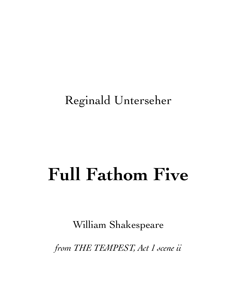## Reginald Unterseher

## **Full Fathom Five**

William Shakespeare

*from THE TEMPEST, Act 1 scene ii*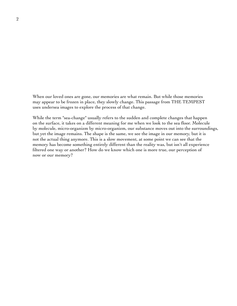When our loved ones are gone, our memories are what remain. But while those memories may appear to be frozen in place, they slowly change. This passage from THE TEMPEST uses undersea images to explore the process of that change.

While the term "sea-change" usually refers to the sudden and complete changes that happen on the surface, it takes on a different meaning for me when we look to the sea floor. Molecule by molecule, micro-organizm by micro-organizm, our substance moves out into the surroundings, but yet the image remains. The shape is the same, we see the image in our memory, but it is not the actual thing anymore. This is a slow movement, at some point we can see that the memory has become something entirely different than the reality was, but isn't all experience filtered one way or another? How do we know which one is more true, our perception of now or our memory?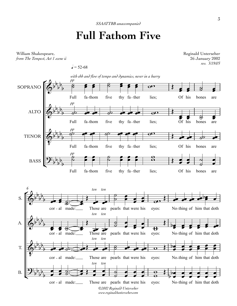## **Full Fathom Five**

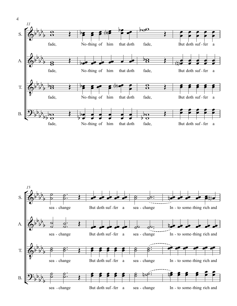

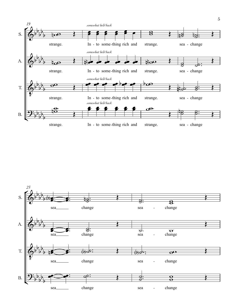

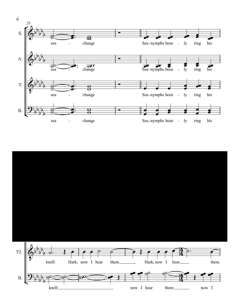